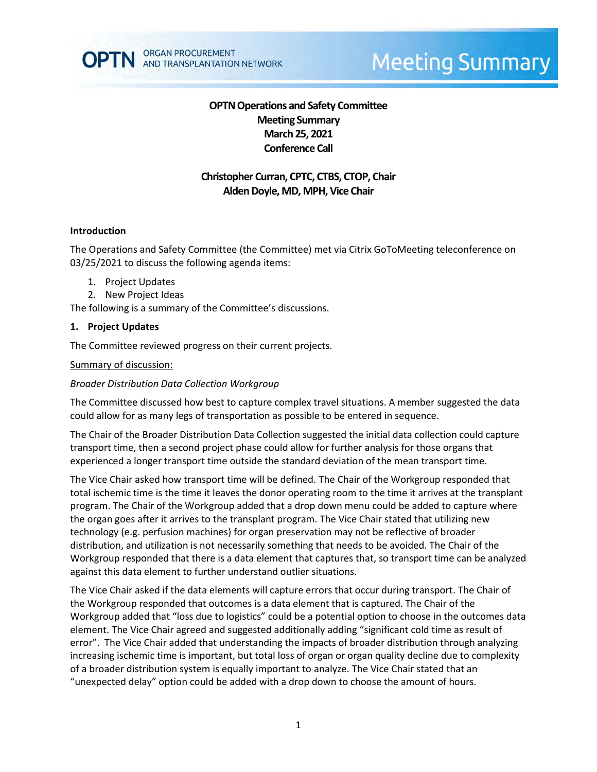

# **Meeting Summary**

# **OPTN Operations and Safety Committee Meeting Summary March 25, 2021 Conference Call**

# **Christopher Curran, CPTC, CTBS, CTOP, Chair Alden Doyle, MD, MPH, Vice Chair**

#### **Introduction**

The Operations and Safety Committee (the Committee) met via Citrix GoToMeeting teleconference on 03/25/2021 to discuss the following agenda items:

- 1. Project Updates
- 2. New Project Ideas

The following is a summary of the Committee's discussions.

#### **1. Project Updates**

The Committee reviewed progress on their current projects.

#### Summary of discussion:

#### *Broader Distribution Data Collection Workgroup*

The Committee discussed how best to capture complex travel situations. A member suggested the data could allow for as many legs of transportation as possible to be entered in sequence.

The Chair of the Broader Distribution Data Collection suggested the initial data collection could capture transport time, then a second project phase could allow for further analysis for those organs that experienced a longer transport time outside the standard deviation of the mean transport time.

The Vice Chair asked how transport time will be defined. The Chair of the Workgroup responded that total ischemic time is the time it leaves the donor operating room to the time it arrives at the transplant program. The Chair of the Workgroup added that a drop down menu could be added to capture where the organ goes after it arrives to the transplant program. The Vice Chair stated that utilizing new technology (e.g. perfusion machines) for organ preservation may not be reflective of broader distribution, and utilization is not necessarily something that needs to be avoided. The Chair of the Workgroup responded that there is a data element that captures that, so transport time can be analyzed against this data element to further understand outlier situations.

The Vice Chair asked if the data elements will capture errors that occur during transport. The Chair of the Workgroup responded that outcomes is a data element that is captured. The Chair of the Workgroup added that "loss due to logistics" could be a potential option to choose in the outcomes data element. The Vice Chair agreed and suggested additionally adding "significant cold time as result of error". The Vice Chair added that understanding the impacts of broader distribution through analyzing increasing ischemic time is important, but total loss of organ or organ quality decline due to complexity of a broader distribution system is equally important to analyze. The Vice Chair stated that an "unexpected delay" option could be added with a drop down to choose the amount of hours.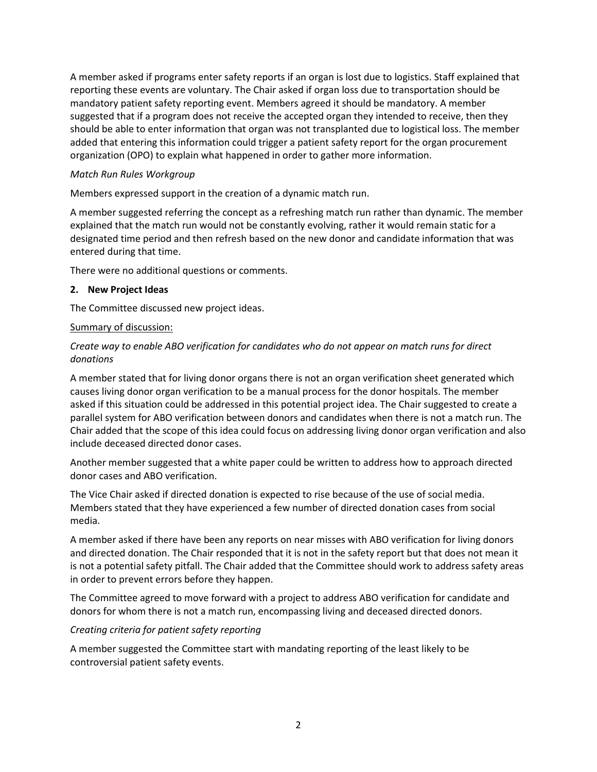A member asked if programs enter safety reports if an organ is lost due to logistics. Staff explained that reporting these events are voluntary. The Chair asked if organ loss due to transportation should be mandatory patient safety reporting event. Members agreed it should be mandatory. A member suggested that if a program does not receive the accepted organ they intended to receive, then they should be able to enter information that organ was not transplanted due to logistical loss. The member added that entering this information could trigger a patient safety report for the organ procurement organization (OPO) to explain what happened in order to gather more information.

## *Match Run Rules Workgroup*

Members expressed support in the creation of a dynamic match run.

A member suggested referring the concept as a refreshing match run rather than dynamic. The member explained that the match run would not be constantly evolving, rather it would remain static for a designated time period and then refresh based on the new donor and candidate information that was entered during that time.

There were no additional questions or comments.

## **2. New Project Ideas**

The Committee discussed new project ideas.

## Summary of discussion:

# *Create way to enable ABO verification for candidates who do not appear on match runs for direct donations*

A member stated that for living donor organs there is not an organ verification sheet generated which causes living donor organ verification to be a manual process for the donor hospitals. The member asked if this situation could be addressed in this potential project idea. The Chair suggested to create a parallel system for ABO verification between donors and candidates when there is not a match run. The Chair added that the scope of this idea could focus on addressing living donor organ verification and also include deceased directed donor cases.

Another member suggested that a white paper could be written to address how to approach directed donor cases and ABO verification.

The Vice Chair asked if directed donation is expected to rise because of the use of social media. Members stated that they have experienced a few number of directed donation cases from social media.

A member asked if there have been any reports on near misses with ABO verification for living donors and directed donation. The Chair responded that it is not in the safety report but that does not mean it is not a potential safety pitfall. The Chair added that the Committee should work to address safety areas in order to prevent errors before they happen.

The Committee agreed to move forward with a project to address ABO verification for candidate and donors for whom there is not a match run, encompassing living and deceased directed donors.

# *Creating criteria for patient safety reporting*

A member suggested the Committee start with mandating reporting of the least likely to be controversial patient safety events.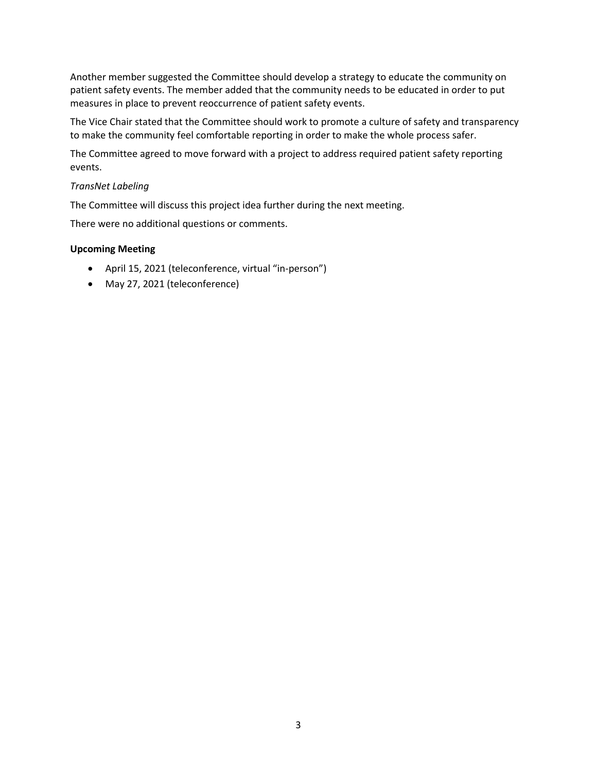Another member suggested the Committee should develop a strategy to educate the community on patient safety events. The member added that the community needs to be educated in order to put measures in place to prevent reoccurrence of patient safety events.

The Vice Chair stated that the Committee should work to promote a culture of safety and transparency to make the community feel comfortable reporting in order to make the whole process safer.

The Committee agreed to move forward with a project to address required patient safety reporting events.

## *TransNet Labeling*

The Committee will discuss this project idea further during the next meeting.

There were no additional questions or comments.

#### **Upcoming Meeting**

- April 15, 2021 (teleconference, virtual "in-person")
- May 27, 2021 (teleconference)